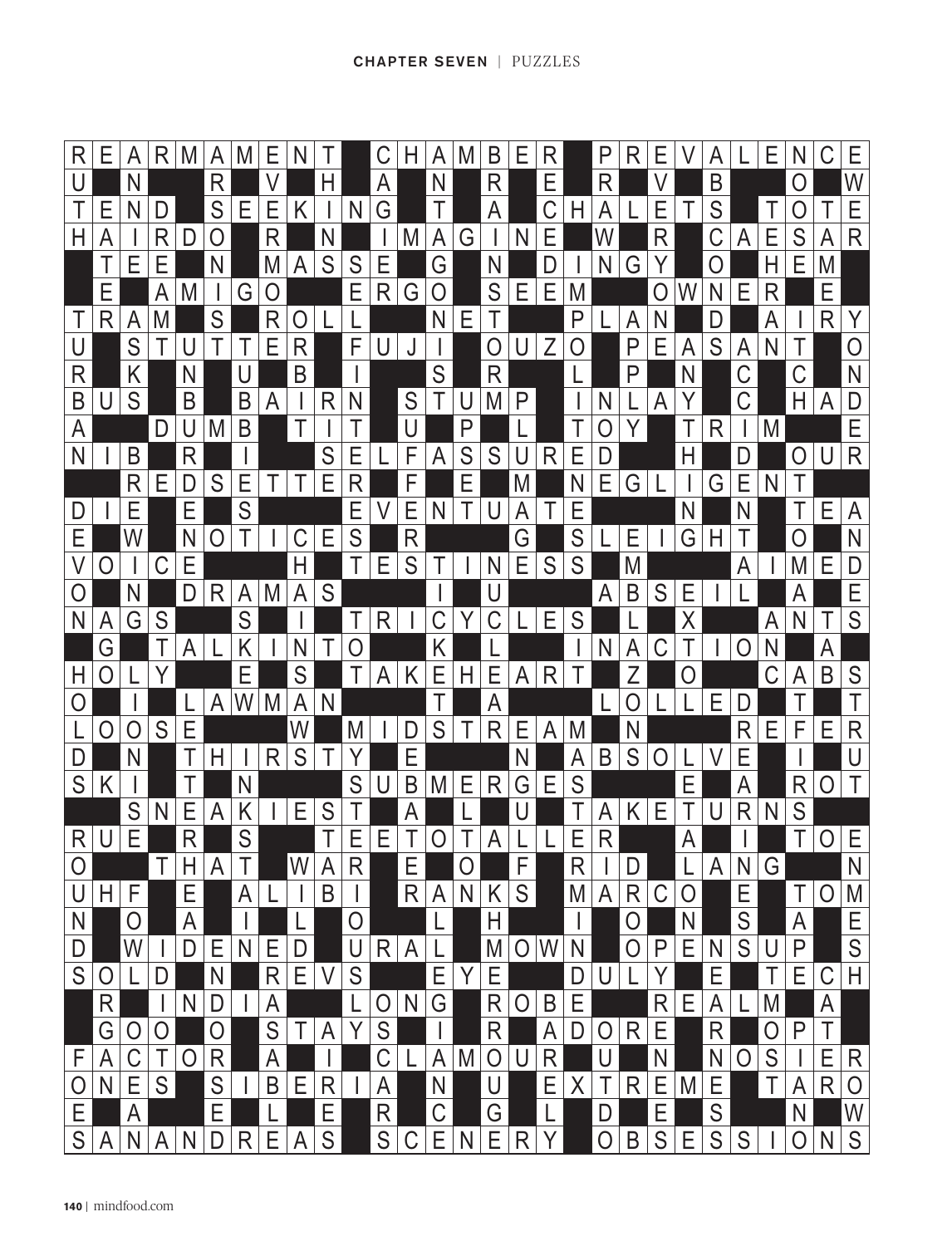